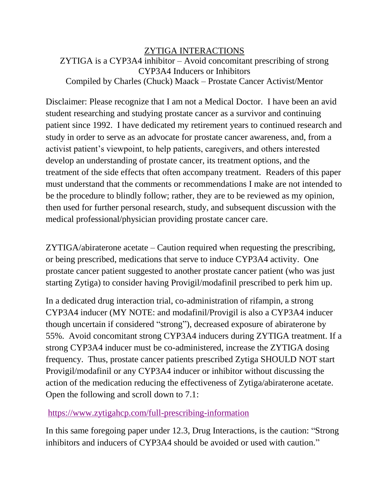## ZYTIGA INTERACTIONS ZYTIGA is a CYP3A4 inhibitor – Avoid concomitant prescribing of strong CYP3A4 Inducers or Inhibitors Compiled by Charles (Chuck) Maack – Prostate Cancer Activist/Mentor

Disclaimer: Please recognize that I am not a Medical Doctor. I have been an avid student researching and studying prostate cancer as a survivor and continuing patient since 1992. I have dedicated my retirement years to continued research and study in order to serve as an advocate for prostate cancer awareness, and, from a activist patient's viewpoint, to help patients, caregivers, and others interested develop an understanding of prostate cancer, its treatment options, and the treatment of the side effects that often accompany treatment. Readers of this paper must understand that the comments or recommendations I make are not intended to be the procedure to blindly follow; rather, they are to be reviewed as my opinion, then used for further personal research, study, and subsequent discussion with the medical professional/physician providing prostate cancer care.

ZYTIGA/abiraterone acetate – Caution required when requesting the prescribing, or being prescribed, medications that serve to induce CYP3A4 activity. One prostate cancer patient suggested to another prostate cancer patient (who was just starting Zytiga) to consider having Provigil/modafinil prescribed to perk him up.

In a dedicated drug interaction trial, co-administration of rifampin, a strong CYP3A4 inducer (MY NOTE: and modafinil/Provigil is also a CYP3A4 inducer though uncertain if considered "strong"), decreased exposure of abiraterone by 55%. Avoid concomitant strong CYP3A4 inducers during ZYTIGA treatment. If a strong CYP3A4 inducer must be co-administered, increase the ZYTIGA dosing frequency. Thus, prostate cancer patients prescribed Zytiga SHOULD NOT start Provigil/modafinil or any CYP3A4 inducer or inhibitor without discussing the action of the medication reducing the effectiveness of Zytiga/abiraterone acetate. Open the following and scroll down to 7.1:

<https://www.zytigahcp.com/full-prescribing-information>

In this same foregoing paper under 12.3, Drug Interactions, is the caution: "Strong inhibitors and inducers of CYP3A4 should be avoided or used with caution."